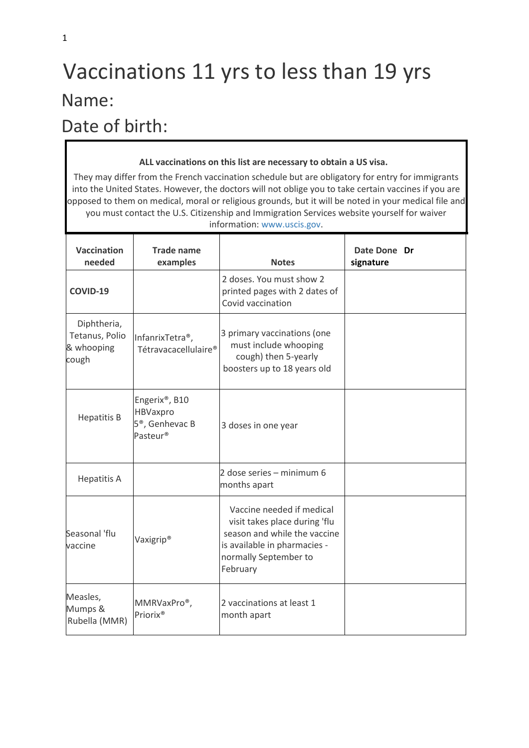## Vaccinations 11 yrs to less than 19 yrs Name:

## Date of birth:

Measles, Mumps & Rubella (MMR)

MMRVaxPro®,

Priorix®

## **ALL vaccinations on this list are necessary to obtain a US visa.**  They may differ from the French vaccination schedule but are obligatory for entry for immigrants into the United States. However, the doctors will not oblige you to take certain vaccines if you are opposed to them on medical, moral or religious grounds, but it will be noted in your medical file and you must contact the U.S. Citizenship and Immigration Services website yourself for waiver information: [www.uscis.gov.](http://www.uscis.gov/)  **Vaccination needed Trade name examples Notes Date Done Dr signature COVID-19** 2 doses. You must show 2 printed pages with 2 dates of Covid vaccination Diphtheria, Tetanus, Polio & whooping cough InfanrixTetra®, Tétravacacellulaire® 3 primary vaccinations (one must include whooping cough) then 5-yearly boosters up to 18 years old Hepatitis B Engerix®, B10 HBVaxpro 5®, Genhevac B Pasteur® 3 doses in one year Hepatitis A 2 dose series – minimum 6 months apart Seasonal 'flu vaccine Vaxigrip®<br>vaccine Vaccine needed if medical visit takes place during 'flu season and while the vaccine is available in pharmacies normally September to February

2 vaccinations at least 1

month apart